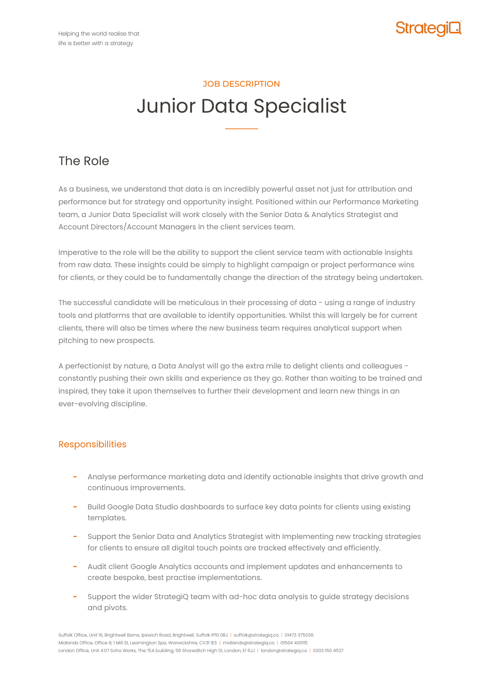

# JOB DESCRIPTION Junior Data Specialist

**–––––––––**

## The Role

As a business, we understand that data is an incredibly powerful asset not just for attribution and performance but for strategy and opportunity insight. Positioned within our Performance Marketing team, a Junior Data Specialist will work closely with the Senior Data & Analytics Strategist and Account Directors/Account Managers in the client services team.

Imperative to the role will be the ability to support the client service team with actionable insights from raw data. These insights could be simply to highlight campaign or project performance wins for clients, or they could be to fundamentally change the direction of the strategy being undertaken.

The successful candidate will be meticulous in their processing of data - using a range of industry tools and platforms that are available to identify opportunities. Whilst this will largely be for current clients, there will also be times where the new business team requires analytical support when pitching to new prospects.

A perfectionist by nature, a Data Analyst will go the extra mile to delight clients and colleagues constantly pushing their own skills and experience as they go. Rather than waiting to be trained and inspired, they take it upon themselves to further their development and learn new things in an ever-evolving discipline.

### Responsibilities

- **−** Analyse performance marketing data and identify actionable insights that drive growth and continuous improvements.
- **−** Build Google Data Studio dashboards to surface key data points for clients using existing templates.
- **−** Support the Senior Data and Analytics Strategist with Implementing new tracking strategies for clients to ensure all digital touch points are tracked effectively and efficiently.
- **−** Audit client Google Analytics accounts and implement updates and enhancements to create bespoke, best practise implementations.
- **−** Support the wider StrategiQ team with ad-hoc data analysis to guide strategy decisions and pivots.